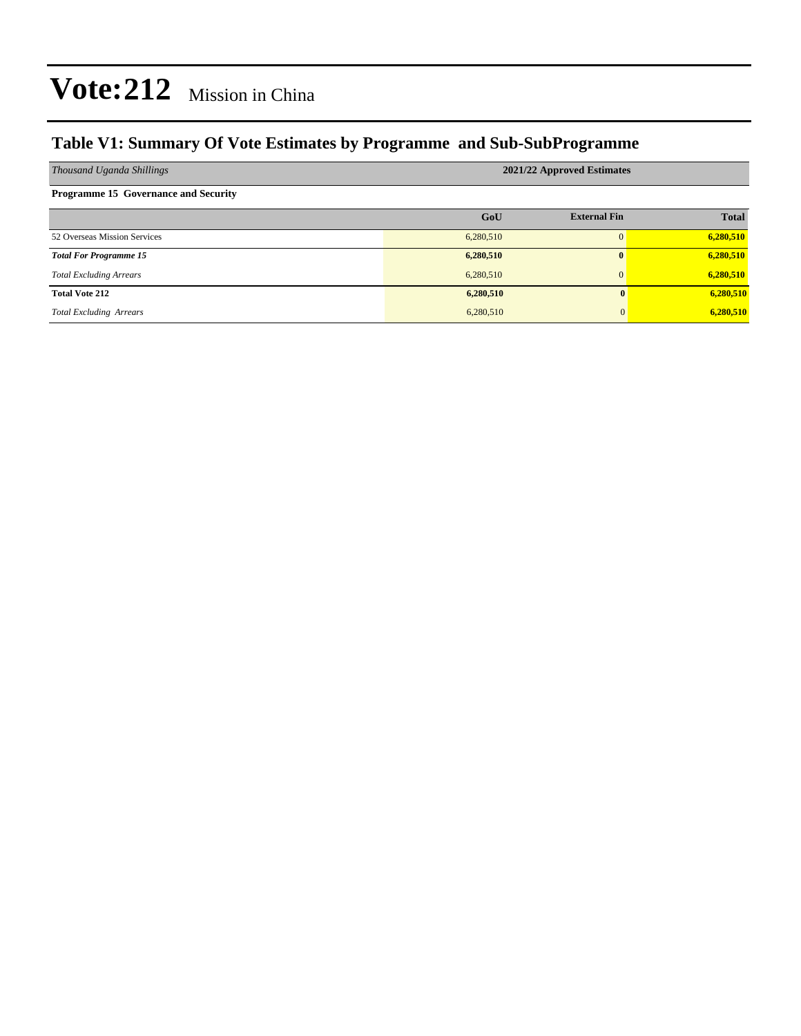### **Table V1: Summary Of Vote Estimates by Programme and Sub-SubProgramme**

| Thousand Uganda Shillings                   | 2021/22 Approved Estimates |                     |              |  |  |  |  |
|---------------------------------------------|----------------------------|---------------------|--------------|--|--|--|--|
| <b>Programme 15 Governance and Security</b> |                            |                     |              |  |  |  |  |
|                                             | GoU                        | <b>External Fin</b> | <b>Total</b> |  |  |  |  |
| 52 Overseas Mission Services                | 6,280,510                  | $\Omega$            | 6,280,510    |  |  |  |  |
| <b>Total For Programme 15</b>               | 6,280,510                  | $\mathbf{0}$        | 6,280,510    |  |  |  |  |
| <b>Total Excluding Arrears</b>              | 6,280,510                  | $\mathbf{0}$        | 6,280,510    |  |  |  |  |
| <b>Total Vote 212</b>                       | 6,280,510                  | 0                   | 6,280,510    |  |  |  |  |
| <b>Total Excluding Arrears</b>              | 6,280,510                  | 0                   | 6,280,510    |  |  |  |  |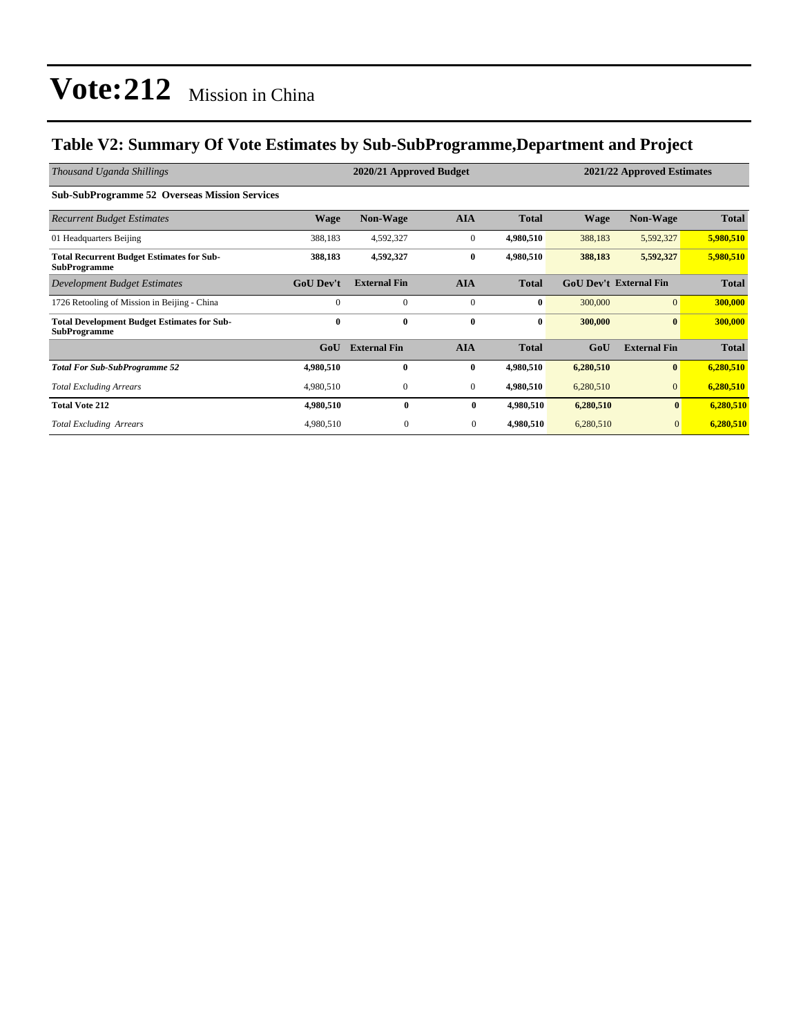### **Table V2: Summary Of Vote Estimates by Sub-SubProgramme,Department and Project**

| Thousand Uganda Shillings                                                 |                  | 2020/21 Approved Budget |              |              | 2021/22 Approved Estimates |                               |              |
|---------------------------------------------------------------------------|------------------|-------------------------|--------------|--------------|----------------------------|-------------------------------|--------------|
| <b>Sub-SubProgramme 52 Overseas Mission Services</b>                      |                  |                         |              |              |                            |                               |              |
| <b>Recurrent Budget Estimates</b>                                         | Wage             | Non-Wage                | <b>AIA</b>   | <b>Total</b> | <b>Wage</b>                | Non-Wage                      | <b>Total</b> |
| 01 Headquarters Beijing                                                   | 388,183          | 4,592,327               | $\mathbf{0}$ | 4,980,510    | 388,183                    | 5,592,327                     | 5,980,510    |
| <b>Total Recurrent Budget Estimates for Sub-</b><br><b>SubProgramme</b>   | 388,183          | 4,592,327               | $\bf{0}$     | 4,980,510    | 388,183                    | 5,592,327                     | 5,980,510    |
| Development Budget Estimates                                              | <b>GoU</b> Dev't | <b>External Fin</b>     | <b>AIA</b>   | <b>Total</b> |                            | <b>GoU Dev't External Fin</b> | <b>Total</b> |
| 1726 Retooling of Mission in Beijing - China                              | $\Omega$         | $\mathbf{0}$            | $\mathbf{0}$ | $\bf{0}$     | 300,000                    | $\overline{0}$                | 300,000      |
| <b>Total Development Budget Estimates for Sub-</b><br><b>SubProgramme</b> | $\bf{0}$         | $\bf{0}$                | $\bf{0}$     | $\bf{0}$     | 300,000                    | $\bf{0}$                      | 300,000      |
|                                                                           | GoU              | <b>External Fin</b>     | <b>AIA</b>   | <b>Total</b> | GoU                        | <b>External Fin</b>           | <b>Total</b> |
| <b>Total For Sub-SubProgramme 52</b>                                      | 4,980,510        | $\mathbf{0}$            | $\bf{0}$     | 4,980,510    | 6,280,510                  | $\bf{0}$                      | 6,280,510    |
| <b>Total Excluding Arrears</b>                                            | 4,980,510        | $\mathbf{0}$            | $\mathbf{0}$ | 4,980,510    | 6,280,510                  | $\overline{0}$                | 6,280,510    |
| <b>Total Vote 212</b>                                                     | 4,980,510        | $\bf{0}$                | $\bf{0}$     | 4,980,510    | 6,280,510                  | $\bf{0}$                      | 6,280,510    |
| <b>Total Excluding Arrears</b>                                            | 4,980,510        | $\mathbf{0}$            | $\mathbf{0}$ | 4,980,510    | 6,280,510                  | $\overline{0}$                | 6,280,510    |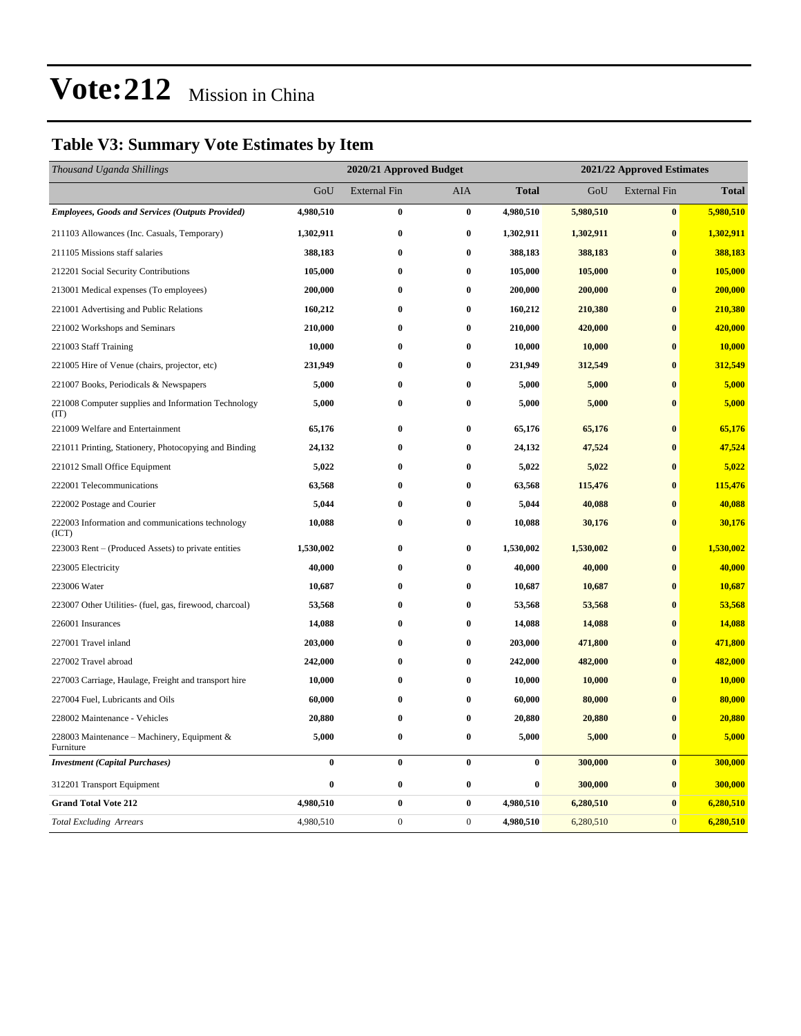### **Table V3: Summary Vote Estimates by Item**

| Thousand Uganda Shillings                                   | 2020/21 Approved Budget |                     |              |              | 2021/22 Approved Estimates |                     |              |  |
|-------------------------------------------------------------|-------------------------|---------------------|--------------|--------------|----------------------------|---------------------|--------------|--|
|                                                             | GoU                     | <b>External Fin</b> | AIA          | <b>Total</b> | GoU                        | <b>External Fin</b> | <b>Total</b> |  |
| <b>Employees, Goods and Services (Outputs Provided)</b>     | 4,980,510               | $\bf{0}$            | $\bf{0}$     | 4,980,510    | 5,980,510                  | $\pmb{0}$           | 5,980,510    |  |
| 211103 Allowances (Inc. Casuals, Temporary)                 | 1,302,911               | $\bf{0}$            | $\bf{0}$     | 1,302,911    | 1,302,911                  | $\bf{0}$            | 1,302,911    |  |
| 211105 Missions staff salaries                              | 388,183                 | $\bf{0}$            | $\bf{0}$     | 388,183      | 388,183                    | $\bf{0}$            | 388,183      |  |
| 212201 Social Security Contributions                        | 105,000                 | $\bf{0}$            | $\bf{0}$     | 105,000      | 105,000                    | $\bf{0}$            | 105,000      |  |
| 213001 Medical expenses (To employees)                      | 200,000                 | $\bf{0}$            | $\bf{0}$     | 200,000      | 200,000                    | $\bf{0}$            | 200,000      |  |
| 221001 Advertising and Public Relations                     | 160,212                 | $\bf{0}$            | $\bf{0}$     | 160,212      | 210,380                    | $\bf{0}$            | 210,380      |  |
| 221002 Workshops and Seminars                               | 210,000                 | $\bf{0}$            | $\bf{0}$     | 210,000      | 420,000                    | $\bf{0}$            | 420,000      |  |
| 221003 Staff Training                                       | 10,000                  | $\bf{0}$            | $\bf{0}$     | 10,000       | 10,000                     | $\bf{0}$            | 10,000       |  |
| 221005 Hire of Venue (chairs, projector, etc)               | 231,949                 | $\bf{0}$            | $\bf{0}$     | 231,949      | 312,549                    | $\bf{0}$            | 312,549      |  |
| 221007 Books, Periodicals & Newspapers                      | 5,000                   | $\bf{0}$            | $\bf{0}$     | 5,000        | 5,000                      | $\bf{0}$            | 5,000        |  |
| 221008 Computer supplies and Information Technology<br>(TT) | 5,000                   | $\bf{0}$            | $\bf{0}$     | 5,000        | 5,000                      | $\bf{0}$            | 5,000        |  |
| 221009 Welfare and Entertainment                            | 65,176                  | $\bf{0}$            | $\bf{0}$     | 65,176       | 65,176                     | $\bf{0}$            | 65,176       |  |
| 221011 Printing, Stationery, Photocopying and Binding       | 24,132                  | $\bf{0}$            | $\bf{0}$     | 24,132       | 47,524                     | $\bf{0}$            | 47,524       |  |
| 221012 Small Office Equipment                               | 5,022                   | $\bf{0}$            | $\bf{0}$     | 5,022        | 5,022                      | $\bf{0}$            | 5,022        |  |
| 222001 Telecommunications                                   | 63,568                  | 0                   | $\bf{0}$     | 63,568       | 115,476                    | $\bf{0}$            | 115,476      |  |
| 222002 Postage and Courier                                  | 5,044                   | $\bf{0}$            | $\bf{0}$     | 5,044        | 40,088                     | $\mathbf{0}$        | 40,088       |  |
| 222003 Information and communications technology<br>(ICT)   | 10,088                  | $\pmb{0}$           | $\bf{0}$     | 10,088       | 30,176                     | $\bf{0}$            | 30,176       |  |
| 223003 Rent – (Produced Assets) to private entities         | 1,530,002               | $\bf{0}$            | $\bf{0}$     | 1,530,002    | 1,530,002                  | $\bf{0}$            | 1,530,002    |  |
| 223005 Electricity                                          | 40,000                  | $\bf{0}$            | $\bf{0}$     | 40,000       | 40,000                     | $\bf{0}$            | 40,000       |  |
| 223006 Water                                                | 10,687                  | $\bf{0}$            | $\bf{0}$     | 10,687       | 10,687                     | $\bf{0}$            | 10,687       |  |
| 223007 Other Utilities- (fuel, gas, firewood, charcoal)     | 53,568                  | $\bf{0}$            | $\bf{0}$     | 53,568       | 53,568                     | $\bf{0}$            | 53,568       |  |
| 226001 Insurances                                           | 14,088                  | $\bf{0}$            | $\bf{0}$     | 14,088       | 14,088                     | $\bf{0}$            | 14,088       |  |
| 227001 Travel inland                                        | 203,000                 | $\bf{0}$            | $\bf{0}$     | 203,000      | 471,800                    | $\bf{0}$            | 471,800      |  |
| 227002 Travel abroad                                        | 242,000                 | $\bf{0}$            | $\bf{0}$     | 242,000      | 482,000                    | $\bf{0}$            | 482,000      |  |
| 227003 Carriage, Haulage, Freight and transport hire        | 10,000                  | $\bf{0}$            | $\bf{0}$     | 10,000       | 10,000                     | $\bf{0}$            | 10,000       |  |
| 227004 Fuel, Lubricants and Oils                            | 60,000                  | $\bf{0}$            | $\bf{0}$     | 60,000       | 80,000                     | $\bf{0}$            | 80,000       |  |
| 228002 Maintenance - Vehicles                               | 20,880                  | $\bf{0}$            | $\bf{0}$     | 20,880       | 20,880                     | $\bf{0}$            | 20,880       |  |
| 228003 Maintenance – Machinery, Equipment &<br>Furniture    | 5,000                   | $\bf{0}$            | $\bf{0}$     | 5,000        | 5,000                      | $\bf{0}$            | 5,000        |  |
| <b>Investment</b> (Capital Purchases)                       | $\bf{0}$                | $\bf{0}$            | $\bf{0}$     | $\bf{0}$     | 300,000                    | $\bf{0}$            | 300,000      |  |
| 312201 Transport Equipment                                  | $\bf{0}$                | $\bf{0}$            | $\bf{0}$     | $\bf{0}$     | 300,000                    | $\bf{0}$            | 300,000      |  |
| <b>Grand Total Vote 212</b>                                 | 4,980,510               | $\pmb{0}$           | $\bf{0}$     | 4,980,510    | 6,280,510                  | $\bf{0}$            | 6,280,510    |  |
| <b>Total Excluding Arrears</b>                              | 4,980,510               | $\boldsymbol{0}$    | $\mathbf{0}$ | 4,980,510    | 6,280,510                  | $\mathbf{0}$        | 6,280,510    |  |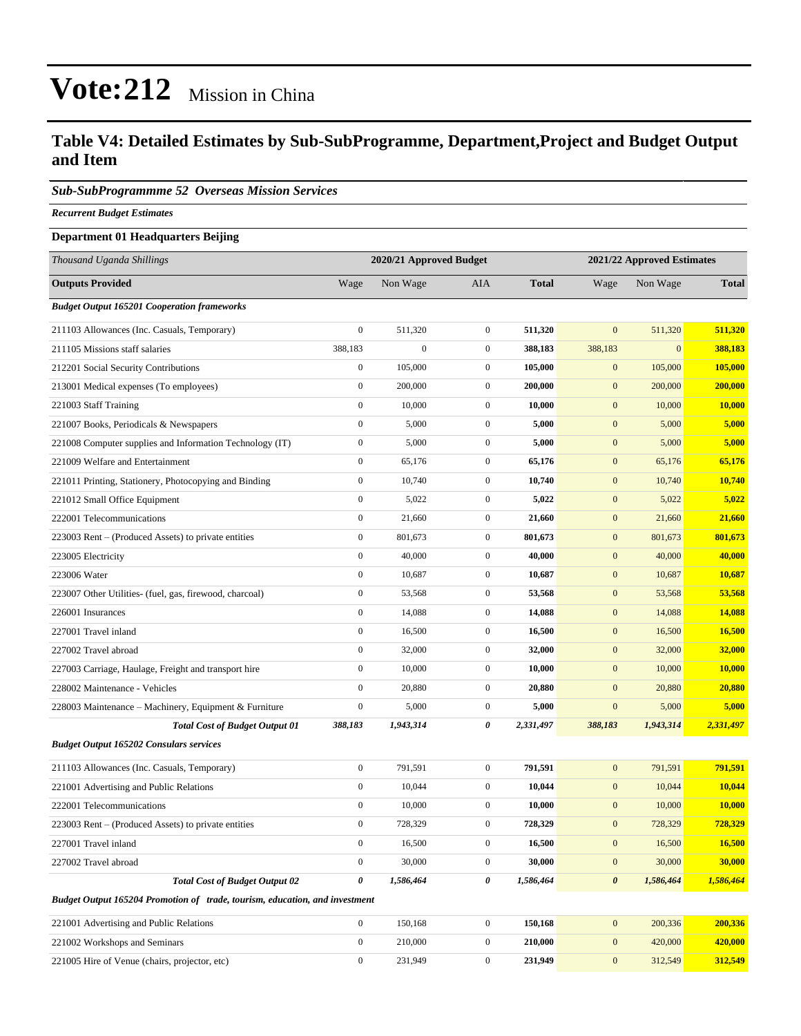### **Table V4: Detailed Estimates by Sub-SubProgramme, Department,Project and Budget Output and Item**

#### *Sub-SubProgrammme 52 Overseas Mission Services*

*Recurrent Budget Estimates*

#### **Department 01 Headquarters Beijing**

| Thousand Uganda Shillings                                                   | 2020/21 Approved Budget |                  |                  | 2021/22 Approved Estimates |                       |              |               |
|-----------------------------------------------------------------------------|-------------------------|------------------|------------------|----------------------------|-----------------------|--------------|---------------|
| <b>Outputs Provided</b>                                                     | Wage                    | Non Wage         | AIA              | <b>Total</b>               | Wage                  | Non Wage     | <b>Total</b>  |
| <b>Budget Output 165201 Cooperation frameworks</b>                          |                         |                  |                  |                            |                       |              |               |
| 211103 Allowances (Inc. Casuals, Temporary)                                 | $\boldsymbol{0}$        | 511,320          | $\overline{0}$   | 511,320                    | $\mathbf{0}$          | 511,320      | 511,320       |
| 211105 Missions staff salaries                                              | 388,183                 | $\boldsymbol{0}$ | $\overline{0}$   | 388,183                    | 388,183               | $\mathbf{0}$ | 388,183       |
| 212201 Social Security Contributions                                        | $\boldsymbol{0}$        | 105,000          | $\mathbf{0}$     | 105,000                    | $\mathbf{0}$          | 105,000      | 105,000       |
| 213001 Medical expenses (To employees)                                      | $\boldsymbol{0}$        | 200,000          | $\overline{0}$   | 200,000                    | $\mathbf{0}$          | 200,000      | 200,000       |
| 221003 Staff Training                                                       | $\boldsymbol{0}$        | 10,000           | $\mathbf{0}$     | 10,000                     | $\mathbf{0}$          | 10,000       | 10,000        |
| 221007 Books, Periodicals & Newspapers                                      | $\boldsymbol{0}$        | 5,000            | $\overline{0}$   | 5,000                      | $\mathbf{0}$          | 5,000        | 5,000         |
| 221008 Computer supplies and Information Technology (IT)                    | $\boldsymbol{0}$        | 5,000            | $\boldsymbol{0}$ | 5,000                      | $\mathbf{0}$          | 5,000        | 5,000         |
| 221009 Welfare and Entertainment                                            | $\boldsymbol{0}$        | 65,176           | $\mathbf{0}$     | 65,176                     | $\mathbf{0}$          | 65,176       | 65,176        |
| 221011 Printing, Stationery, Photocopying and Binding                       | $\boldsymbol{0}$        | 10,740           | $\boldsymbol{0}$ | 10,740                     | $\mathbf{0}$          | 10,740       | 10,740        |
| 221012 Small Office Equipment                                               | $\boldsymbol{0}$        | 5,022            | $\mathbf{0}$     | 5,022                      | $\mathbf{0}$          | 5,022        | 5,022         |
| 222001 Telecommunications                                                   | $\boldsymbol{0}$        | 21,660           | $\overline{0}$   | 21,660                     | $\mathbf{0}$          | 21,660       | 21,660        |
| 223003 Rent – (Produced Assets) to private entities                         | $\boldsymbol{0}$        | 801,673          | $\mathbf{0}$     | 801,673                    | $\mathbf{0}$          | 801,673      | 801,673       |
| 223005 Electricity                                                          | $\boldsymbol{0}$        | 40,000           | $\mathbf{0}$     | 40,000                     | $\mathbf{0}$          | 40,000       | 40,000        |
| 223006 Water                                                                | $\boldsymbol{0}$        | 10,687           | $\boldsymbol{0}$ | 10,687                     | $\mathbf{0}$          | 10,687       | 10,687        |
| 223007 Other Utilities- (fuel, gas, firewood, charcoal)                     | $\boldsymbol{0}$        | 53,568           | $\boldsymbol{0}$ | 53,568                     | $\mathbf{0}$          | 53,568       | 53,568        |
| 226001 Insurances                                                           | $\boldsymbol{0}$        | 14,088           | $\overline{0}$   | 14,088                     | $\mathbf{0}$          | 14,088       | 14,088        |
| 227001 Travel inland                                                        | $\boldsymbol{0}$        | 16,500           | $\mathbf{0}$     | 16,500                     | $\mathbf{0}$          | 16,500       | 16,500        |
| 227002 Travel abroad                                                        | $\boldsymbol{0}$        | 32,000           | $\mathbf{0}$     | 32,000                     | $\mathbf{0}$          | 32,000       | 32,000        |
| 227003 Carriage, Haulage, Freight and transport hire                        | $\boldsymbol{0}$        | 10,000           | $\boldsymbol{0}$ | 10,000                     | $\mathbf{0}$          | 10,000       | <b>10,000</b> |
| 228002 Maintenance - Vehicles                                               | $\boldsymbol{0}$        | 20,880           | $\boldsymbol{0}$ | 20,880                     | $\mathbf{0}$          | 20,880       | 20,880        |
| 228003 Maintenance - Machinery, Equipment & Furniture                       | $\boldsymbol{0}$        | 5,000            | $\overline{0}$   | 5,000                      | $\boldsymbol{0}$      | 5,000        | 5,000         |
| <b>Total Cost of Budget Output 01</b>                                       | 388,183                 | 1,943,314        | 0                | 2,331,497                  | 388,183               | 1,943,314    | 2,331,497     |
| <b>Budget Output 165202 Consulars services</b>                              |                         |                  |                  |                            |                       |              |               |
| 211103 Allowances (Inc. Casuals, Temporary)                                 | $\boldsymbol{0}$        | 791,591          | $\overline{0}$   | 791,591                    | $\mathbf{0}$          | 791,591      | 791,591       |
| 221001 Advertising and Public Relations                                     | $\boldsymbol{0}$        | 10,044           | $\overline{0}$   | 10,044                     | $\boldsymbol{0}$      | 10,044       | 10,044        |
| 222001 Telecommunications                                                   | $\boldsymbol{0}$        | 10,000           | $\mathbf{0}$     | 10,000                     | $\mathbf{0}$          | 10,000       | 10,000        |
| 223003 Rent – (Produced Assets) to private entities                         | $\boldsymbol{0}$        | 728,329          | $\mathbf{0}$     | 728,329                    | $\mathbf{0}$          | 728,329      | 728,329       |
| 227001 Travel inland                                                        | $\boldsymbol{0}$        | 16,500           | $\boldsymbol{0}$ | 16,500                     | $\mathbf{0}$          | 16,500       | 16,500        |
| 227002 Travel abroad                                                        | $\boldsymbol{0}$        | 30,000           | $\mathbf{0}$     | 30,000                     | $\mathbf{0}$          | 30,000       | 30,000        |
| <b>Total Cost of Budget Output 02</b>                                       | $\boldsymbol{\theta}$   | 1,586,464        | 0                | 1,586,464                  | $\boldsymbol{\theta}$ | 1,586,464    | 1,586,464     |
| Budget Output 165204 Promotion of trade, tourism, education, and investment |                         |                  |                  |                            |                       |              |               |
| 221001 Advertising and Public Relations                                     | $\mathbf{0}$            | 150,168          | $\boldsymbol{0}$ | 150,168                    | $\mathbf{0}$          | 200,336      | 200,336       |
| 221002 Workshops and Seminars                                               | $\boldsymbol{0}$        | 210,000          | $\boldsymbol{0}$ | 210,000                    | $\mathbf{0}$          | 420,000      | 420,000       |
| 221005 Hire of Venue (chairs, projector, etc)                               | $\boldsymbol{0}$        | 231,949          | $\boldsymbol{0}$ | 231,949                    | $\boldsymbol{0}$      | 312,549      | 312,549       |